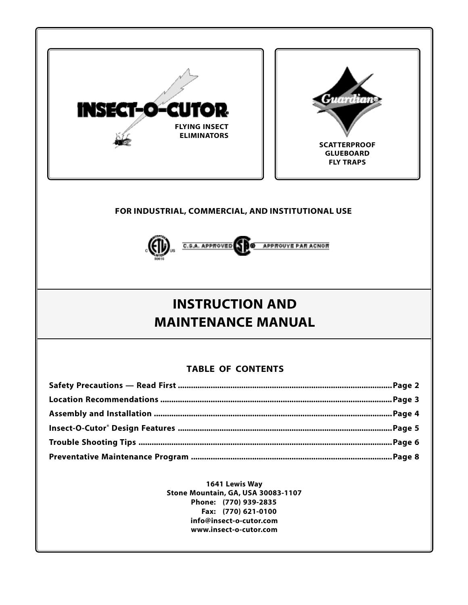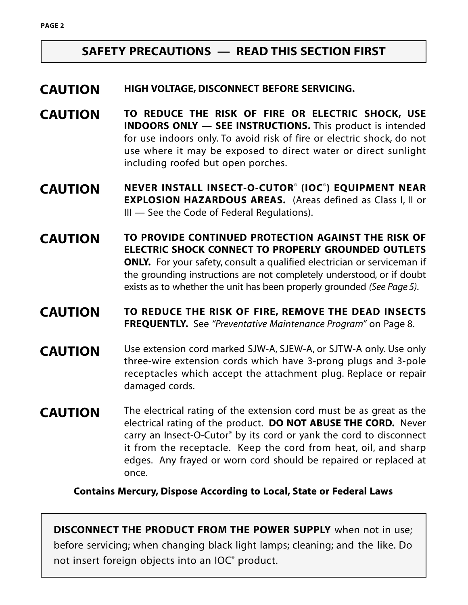# **SAFETY PRECAUTIONS — READ THIS SECTION FIRST**

#### **HIGH VOLTAGE, DISCONNECT BEFORE SERVICING. CAUTION**

- **TO REDUCE THE RISK OF FIRE OR ELECTRIC SHOCK, USE INDOORS ONLY — SEE INSTRUCTIONS.** This product is intended for use indoors only. To avoid risk of fire or electric shock, do not use where it may be exposed to direct water or direct sunlight including roofed but open porches. **CAUTION**
- **NEVER INSTALL INSECT-O-CUTOR® (IOC®) EQUIPMENT NEAR EXPLOSION HAZARDOUS AREAS.** (Areas defined as Class I, II or III — See the Code of Federal Regulations). **CAUTION**
- **TO PROVIDE CONTINUED PROTECTION AGAINST THE RISK OF ELECTRIC SHOCK CONNECT TO PROPERLY GROUNDED OUTLETS ONLY.** For your safety, consult a qualified electrician or serviceman if the grounding instructions are not completely understood, or if doubt exists as to whether the unit has been properly grounded *(See Page 5)*. **CAUTION**
- **TO REDUCE THE RISK OF FIRE, REMOVE THE DEAD INSECTS FREQUENTLY.** See *"Preventative Maintenance Program"* on Page 8. **CAUTION**
- Use extension cord marked SJW-A, SJEW-A, or SJTW-A only. Use only three-wire extension cords which have 3-prong plugs and 3-pole receptacles which accept the attachment plug. Replace or repair damaged cords. **CAUTION**
- The electrical rating of the extension cord must be as great as the electrical rating of the product. **DO NOT ABUSE THE CORD.** Never carry an Insect-O-Cutor® by its cord or yank the cord to disconnect it from the receptacle. Keep the cord from heat, oil, and sharp edges. Any frayed or worn cord should be repaired or replaced at once. **CAUTION**

**Contains Mercury, Dispose According to Local, State or Federal Laws**

**DISCONNECT THE PRODUCT FROM THE POWER SUPPLY** when not in use; before servicing; when changing black light lamps; cleaning; and the like. Do not insert foreign objects into an IOC® product.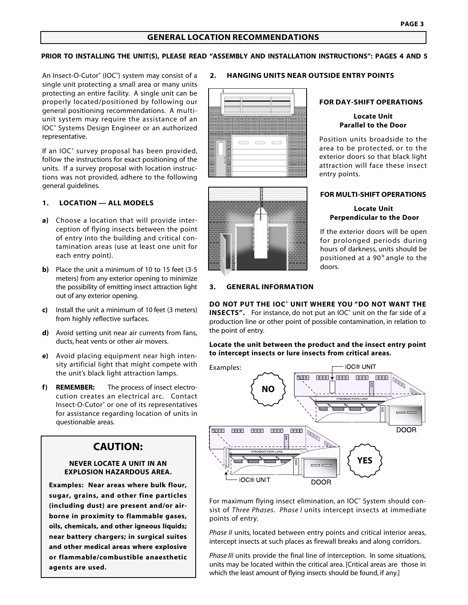#### **GENERAL LOCATION RECOMMENDATIONS**

#### **PRIOR TO INSTALLING THE UNIT(S), PLEASE READ "ASSEMBLY AND INSTALLATION INSTRUCTIONS": PAGES 4 AND 5**

An Insect-O-Cutor® (IOC® ) system may consist of a single unit protecting a small area or many units protecting an entire facility. A single unit can be properly located/positioned by following our general positioning recommendations. A multiunit system may require the assistance of an IOC® Systems Design Engineer or an authorized representative.

If an IOC® survey proposal has been provided, follow the instructions for exact positioning of the units. If a survey proposal with location instructions was not provided, adhere to the following general guidelines.

#### **1. LOCATION — ALL MODELS**

- **a)** Choose a location that will provide interception of flying insects between the point of entry into the building and critical contamination areas (use at least one unit for each entry point).
- **b)** Place the unit a minimum of 10 to 15 feet (3-5 meters) from any exterior opening to minimize the possibility of emitting insect attraction light out of any exterior opening.
- **c)** Install the unit a minimum of 10 feet (3 meters) from highly reflective surfaces.
- **d)** Avoid setting unit near air currents from fans, ducts, heat vents or other air movers.
- **e)** Avoid placing equipment near high intensity artificial light that might compete with the unit's black light attraction lamps.
- **f) REMEMBER:** The process of insect electrocution creates an electrical arc. Contact Insect-O-Cutor® or one of its representatives for assistance regarding location of units in questionable areas.

## **CAUTION:**

#### **NEVER LOCATE A UNIT IN AN EXPLOSION HAZARDOUS AREA.**

**Examples: Near areas where bulk flour, sugar, grains, and other fine particles (including dust) are present and/or airborne in proximity to flammable gases, oils, chemicals, and other igneous liquids; near battery chargers; in surgical suites and other medical areas where explosive or flammable/combustible anaesthetic agents are used.**

#### **2. HANGING UNITS NEAR OUTSIDE ENTRY POINTS**





#### **FOR DAY-SHIFT OPERATIONS**

#### **Locate Unit Parallel to the Door**

Position units broadside to the area to be protected, or to the exterior doors so that black light attraction will face these insect entry points.

#### **FOR MULTI-SHIFT OPERATIONS**

#### **Locate Unit Perpendicular to the Door**

If the exterior doors will be open for prolonged periods during hours of darkness, units should be positioned at a 90° angle to the doors.

#### **3. GENERAL INFORMATION**

**DO NOT PUT THE IOC® UNIT WHERE YOU "DO NOT WANT THE INSECTS".** For instance, do not put an IOC<sup>®</sup> unit on the far side of a production line or other point of possible contamination, in relation to the point of entry.

#### **Locate the unit between the product and the insect entry point to intercept insects or lure insects from critical areas.**



For maximum flying insect elimination, an IOC<sup>®</sup> System should consist of *Three Phases*. *Phase I* units intercept insects at immediate points of entry.

*Phase II* units, located between entry points and critical interior areas, intercept insects at such places as firewall breaks and along corridors.

*Phase III* units provide the final line of interception. In some situations, units may be located within the critical area. [Critical areas are those in which the least amount of flying insects should be found, if any.]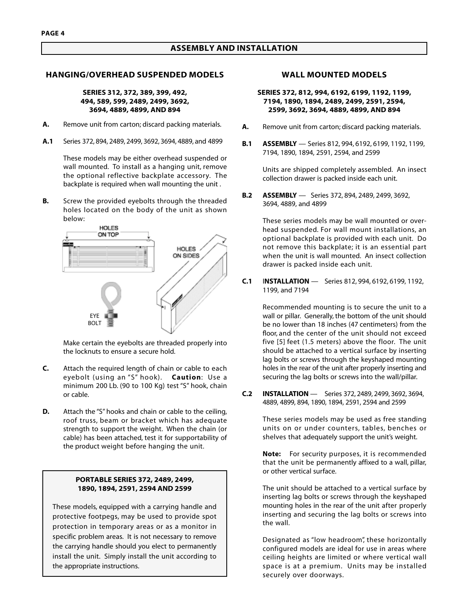#### **ASSEMBLY AND INSTALLATION**

#### **HANGING/OVERHEAD SUSPENDED MODELS**

#### **SERIES 312, 372, 389, 399, 492, 494, 589, 599, 2489, 2499, 3692, 3694, 4889, 4899, AND 894**

- **A.** Remove unit from carton; discard packing materials.
- **A.1** Series 372, 894, 2489, 2499, 3692, 3694, 4889, and 4899

These models may be either overhead suspended or wall mounted. To install as a hanging unit, remove the optional reflective backplate accessory. The backplate is required when wall mounting the unit *.*

**B.** Screw the provided eyebolts through the threaded holes located on the body of the unit as shown below:



Make certain the eyebolts are threaded properly into the locknuts to ensure a secure hold.

- **C.** Attach the required length of chain or cable to each eyebolt (using an "S" hook). **Caution**: Use a minimum 200 Lb. (90 to 100 Kg) test "S" hook, chain or cable.
- **D.** Attach the "S" hooks and chain or cable to the ceiling, roof truss, beam or bracket which has adequate strength to support the weight. When the chain (or cable) has been attached, test it for supportability of the product weight before hanging the unit.

#### **PORTABLE SERIES 372, 2489, 2499, 1890, 1894, 2591, 2594 AND 2599**

These models, equipped with a carrying handle and protective footpegs, may be used to provide spot protection in temporary areas or as a monitor in specific problem areas. It is not necessary to remove the carrying handle should you elect to permanently install the unit. Simply install the unit according to the appropriate instructions.

#### **WALL MOUNTED MODELS**

#### **SERIES 372, 812, 994, 6192, 6199, 1192, 1199, 7194, 1890, 1894, 2489, 2499, 2591, 2594, 2599, 3692, 3694, 4889, 4899, AND 894**

- **A.** Remove unit from carton; discard packing materials.
- **B.1 ASSEMBLY** Series 812, 994, 6192, 6199, 1192, 1199, 7194, 1890, 1894, 2591, 2594, and 2599

Units are shipped completely assembled. An insect collection drawer is packed inside each unit.

**B.2 ASSEMBLY** — Series 372, 894, 2489, 2499, 3692, 3694, 4889, and 4899

> These series models may be wall mounted or overhead suspended. For wall mount installations, an optional backplate is provided with each unit. Do not remove this backplate; it is an essential part when the unit is wall mounted. An insect collection drawer is packed inside each unit.

**C.1** I**NSTALLATION** — Series 812, 994, 6192, 6199, 1192, 1199, and 7194

> Recommended mounting is to secure the unit to a wall or pillar. Generally, the bottom of the unit should be no lower than 18 inches (47 centimeters) from the floor, and the center of the unit should not exceed five [5] feet (1.5 meters) above the floor. The unit should be attached to a vertical surface by inserting lag bolts or screws through the keyshaped mounting holes in the rear of the unit after properly inserting and securing the lag bolts or screws into the wall/pillar.

**C.2 INSTALLATION** — Series 372, 2489, 2499, 3692, 3694, 4889, 4899, 894, 1890, 1894, 2591, 2594 and 2599

> These series models may be used as free standing units on or under counters, tables, benches or shelves that adequately support the unit's weight.

> **Note:** For security purposes, it is recommended that the unit be permanently affixed to a wall, pillar, or other vertical surface.

> The unit should be attached to a vertical surface by inserting lag bolts or screws through the keyshaped mounting holes in the rear of the unit after properly inserting and securing the lag bolts or screws into the wall.

> Designated as "low headroom", these horizontally configured models are ideal for use in areas where ceiling heights are limited or where vertical wall space is at a premium. Units may be installed securely over doorways.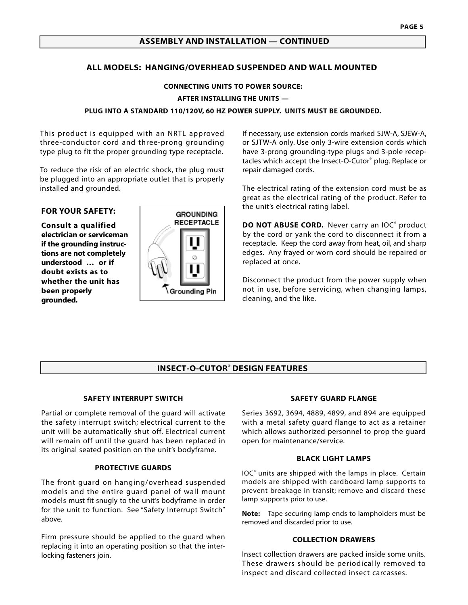## **ASSEMBLY AND INSTALLATION — CONTINUED**

### **ALL MODELS: HANGING/OVERHEAD SUSPENDED AND WALL MOUNTED**

**CONNECTING UNITS TO POWER SOURCE: AFTER INSTALLING THE UNITS — PLUG INTO A STANDARD 110/120V, 60 HZ POWER SUPPLY. UNITS MUST BE GROUNDED.**

This product is equipped with an NRTL approved three-conductor cord and three-prong grounding type plug to fit the proper grounding type receptacle.

To reduce the risk of an electric shock, the plug must be plugged into an appropriate outlet that is properly installed and grounded.

#### **FOR YOUR SAFETY:**

**Consult a qualified electrician or serviceman if the grounding instructions are not completely understood … or if doubt exists as to whether the unit has been properly grounded.**



If necessary, use extension cords marked SJW-A, SJEW-A, or SJTW-A only. Use only 3-wire extension cords which have 3-prong grounding-type plugs and 3-pole receptacles which accept the Insect-O-Cutor® plug. Replace or repair damaged cords.

The electrical rating of the extension cord must be as great as the electrical rating of the product. Refer to the unit's electrical rating label.

**DO NOT ABUSE CORD.** Never carry an IOC<sup>®</sup> product by the cord or yank the cord to disconnect it from a receptacle. Keep the cord away from heat, oil, and sharp edges. Any frayed or worn cord should be repaired or replaced at once.

Disconnect the product from the power supply when not in use, before servicing, when changing lamps, cleaning, and the like.

#### **INSECT-O-CUTOR® DESIGN FEATURES**

#### **SAFETY INTERRUPT SWITCH**

Partial or complete removal of the guard will activate the safety interrupt switch; electrical current to the unit will be automatically shut off. Electrical current will remain off until the guard has been replaced in its original seated position on the unit's bodyframe.

#### **PROTECTIVE GUARDS**

The front guard on hanging/overhead suspended models and the entire guard panel of wall mount models must fit snugly to the unit's bodyframe in order for the unit to function. See "Safety Interrupt Switch" above.

Firm pressure should be applied to the guard when replacing it into an operating position so that the interlocking fasteners join.

#### **SAFETY GUARD FLANGE**

Series 3692, 3694, 4889, 4899, and 894 are equipped with a metal safety guard flange to act as a retainer which allows authorized personnel to prop the guard open for maintenance/service.

#### **BLACK LIGHT LAMPS**

IOC® units are shipped with the lamps in place. Certain models are shipped with cardboard lamp supports to prevent breakage in transit; remove and discard these lamp supports prior to use.

**Note:** Tape securing lamp ends to lampholders must be removed and discarded prior to use.

#### **COLLECTION DRAWERS**

Insect collection drawers are packed inside some units. These drawers should be periodically removed to inspect and discard collected insect carcasses.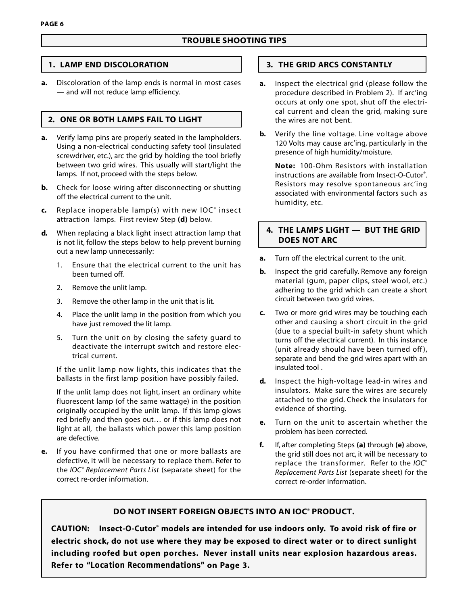## **TROUBLE SHOOTING TIPS**

## **1. LAMP END DISCOLORATION**

**a.** Discoloration of the lamp ends is normal in most cases — and will not reduce lamp efficiency.

## **2. ONE OR BOTH LAMPS FAIL TO LIGHT**

- **a.** Verify lamp pins are properly seated in the lampholders. Using a non-electrical conducting safety tool (insulated screwdriver, etc.), arc the grid by holding the tool briefly between two grid wires. This usually will start/light the lamps. If not, proceed with the steps below.
- **b.** Check for loose wiring after disconnecting or shutting off the electrical current to the unit.
- **c.** Replace inoperable lamp(s) with new IOC® insect attraction lamps. First review Step **(d)** below.
- **d.** When replacing a black light insect attraction lamp that is not lit, follow the steps below to help prevent burning out a new lamp unnecessarily:
	- 1. Ensure that the electrical current to the unit has been turned off.
	- 2. Remove the unlit lamp.
	- 3. Remove the other lamp in the unit that is lit.
	- 4. Place the unlit lamp in the position from which you have just removed the lit lamp.
	- 5. Turn the unit on by closing the safety guard to deactivate the interrupt switch and restore electrical current.

If the unlit lamp now lights, this indicates that the ballasts in the first lamp position have possibly failed.

If the unlit lamp does not light, insert an ordinary white fluorescent lamp (of the same wattage) in the position originally occupied by the unlit lamp. If this lamp glows red briefly and then goes out… or if this lamp does not light at all, the ballasts which power this lamp position are defective.

**e.** If you have confirmed that one or more ballasts are defective, it will be necessary to replace them. Refer to the *IOC® Replacement Parts List* (separate sheet) for the correct re-order information.

## **3. THE GRID ARCS CONSTANTLY**

- **a.** Inspect the electrical grid (please follow the procedure described in Problem 2). If arc'ing occurs at only one spot, shut off the electrical current and clean the grid, making sure the wires are not bent.
- **b.** Verify the line voltage. Line voltage above 120 Volts may cause arc'ing, particularly in the presence of high humidity/moisture.

**Note:** 100-Ohm Resistors with installation instructions are available from Insect-O-Cutor® . Resistors may resolve spontaneous arc'ing associated with environmental factors such as humidity, etc.

## **4. THE LAMPS LIGHT — BUT THE GRID DOES NOT ARC**

- **a.** Turn off the electrical current to the unit.
- **b.** Inspect the grid carefully. Remove any foreign material (gum, paper clips, steel wool, etc.) adhering to the grid which can create a short circuit between two grid wires.
- **c.** Two or more grid wires may be touching each other and causing a short circuit in the grid (due to a special built-in safety shunt which turns off the electrical current). In this instance (unit already should have been turned off), separate and bend the grid wires apart with an insulated tool .
- **d.** Inspect the high-voltage lead-in wires and insulators. Make sure the wires are securely attached to the grid. Check the insulators for evidence of shorting.
- **e.** Turn on the unit to ascertain whether the problem has been corrected.
- **f.** If, after completing Steps **(a)** through **(e)** above, the grid still does not arc, it will be necessary to replace the transformer. Refer to the *IOC® Replacement Parts List* (separate sheet) for the correct re-order information.

## **DO NOT INSERT FOREIGN OBJECTS INTO AN IOC® PRODUCT.**

**CAUTION: Insect-O-Cutor® models are intended for use indoors only. To avoid risk of fire or electric shock, do not use where they may be exposed to direct water or to direct sunlight including roofed but open porches. Never install units near explosion hazardous areas. Refer to** *"Location Recommendations"* **on Page 3.**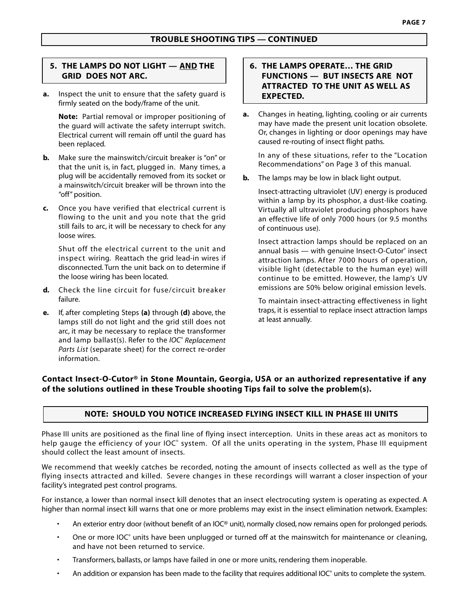## **5. THE LAMPS DO NOT LIGHT — AND THE GRID DOES NOT ARC.**

**a.** Inspect the unit to ensure that the safety guard is firmly seated on the body/frame of the unit.

**Note:** Partial removal or improper positioning of the guard will activate the safety interrupt switch. Electrical current will remain off until the guard has been replaced.

- **b.** Make sure the mainswitch/circuit breaker is "on" or that the unit is, in fact, plugged in. Many times, a plug will be accidentally removed from its socket or a mainswitch/circuit breaker will be thrown into the "off" position.
- **c.** Once you have verified that electrical current is flowing to the unit and you note that the grid still fails to arc, it will be necessary to check for any loose wires.

Shut off the electrical current to the unit and inspect wiring. Reattach the grid lead-in wires if disconnected. Turn the unit back on to determine if the loose wiring has been located.

- **d.** Check the line circuit for fuse/circuit breaker failure.
- **e.** If, after completing Steps **(a)** through **(d)** above, the lamps still do not light and the grid still does not arc, it may be necessary to replace the transformer and lamp ballast(s). Refer to the *IOC® Replacement Parts List* (separate sheet) for the correct re-order information.

## **6. THE LAMPS OPERATE… THE GRID FUNCTIONS — BUT INSECTS ARE NOT ATTRACTED TO THE UNIT AS WELL AS EXPECTED.**

**a.** Changes in heating, lighting, cooling or air currents may have made the present unit location obsolete. Or, changes in lighting or door openings may have caused re-routing of insect flight paths.

In any of these situations, refer to the "Location Recommendations" on Page 3 of this manual.

**b.** The lamps may be low in black light output.

Insect-attracting ultraviolet (UV) energy is produced within a lamp by its phosphor, a dust-like coating. Virtually all ultraviolet producing phosphors have an effective life of only 7000 hours (or 9.5 months of continuous use).

Insect attraction lamps should be replaced on an annual basis — with genuine Insect-O-Cutor® insect attraction lamps. After 7000 hours of operation, visible light (detectable to the human eye) will continue to be emitted. However, the lamp's UV emissions are 50% below original emission levels.

To maintain insect-attracting effectiveness in light traps, it is essential to replace insect attraction lamps at least annually.

## **Contact Insect-O-Cutor® in Stone Mountain, Georgia, USA or an authorized representative if any of the solutions outlined in these Trouble shooting Tips fail to solve the problem(s).**

## **NOTE: SHOULD YOU NOTICE INCREASED FLYING INSECT KILL IN PHASE III UNITS**

Phase III units are positioned as the final line of flying insect interception. Units in these areas act as monitors to help gauge the efficiency of your IOC<sup>®</sup> system. Of all the units operating in the system, Phase III equipment should collect the least amount of insects.

We recommend that weekly catches be recorded, noting the amount of insects collected as well as the type of flying insects attracted and killed. Severe changes in these recordings will warrant a closer inspection of your facility's integrated pest control programs.

For instance, a lower than normal insect kill denotes that an insect electrocuting system is operating as expected. A higher than normal insect kill warns that one or more problems may exist in the insect elimination network. Examples:

- An exterior entry door (without benefit of an IOC® unit), normally closed, now remains open for prolonged periods.
- One or more IOC® units have been unplugged or turned off at the mainswitch for maintenance or cleaning, and have not been returned to service.
- Transformers, ballasts, or lamps have failed in one or more units, rendering them inoperable.
- $\cdot$  An addition or expansion has been made to the facility that requires additional IOC® units to complete the system.